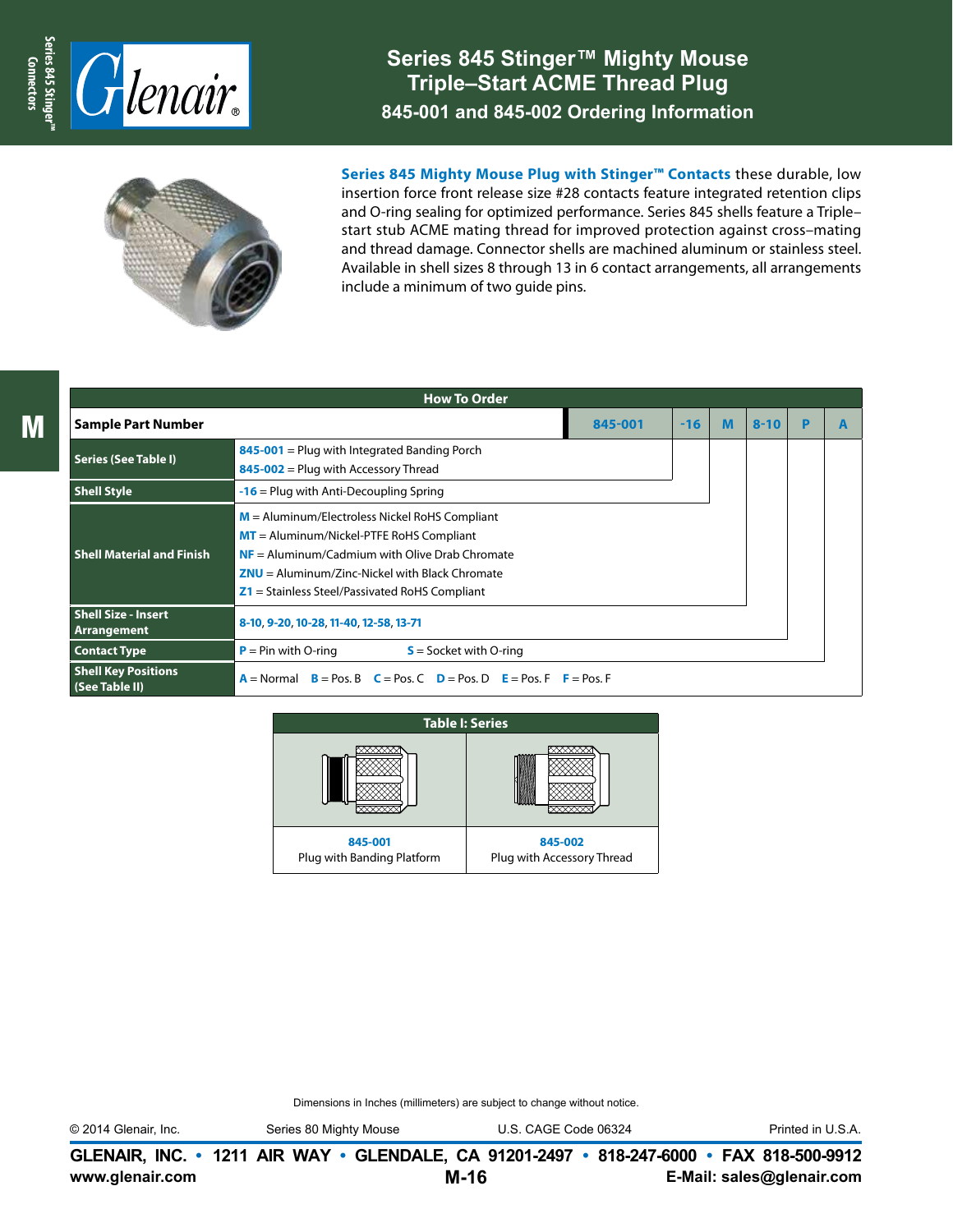

## **Series 845 Stinger™ Mighty Mouse Triple–Start ACME Thread Plug 845-001 and 845-002 Ordering Information**



**Series 845 Mighty Mouse Plug with Stinger™ Contacts** these durable, low insertion force front release size #28 contacts feature integrated retention clips and O-ring sealing for optimized performance. Series 845 shells feature a Triple– start stub ACME mating thread for improved protection against cross–mating and thread damage. Connector shells are machined aluminum or stainless steel. Available in shell sizes 8 through 13 in 6 contact arrangements, all arrangements include a minimum of two guide pins.

|                                              | <b>How To Order</b>                                                                                                                                                                                                                                        |         |       |   |          |   |  |
|----------------------------------------------|------------------------------------------------------------------------------------------------------------------------------------------------------------------------------------------------------------------------------------------------------------|---------|-------|---|----------|---|--|
| <b>Sample Part Number</b>                    |                                                                                                                                                                                                                                                            | 845-001 | $-16$ | M | $8 - 10$ | P |  |
| <b>Series (See Table I)</b>                  | $845-001$ = Plug with Integrated Banding Porch<br>845-002 = Plug with Accessory Thread                                                                                                                                                                     |         |       |   |          |   |  |
| <b>Shell Style</b>                           | $-16$ = Plug with Anti-Decoupling Spring                                                                                                                                                                                                                   |         |       |   |          |   |  |
| <b>Shell Material and Finish</b>             | $M =$ Aluminum/Electroless Nickel RoHS Compliant<br>$MT =$ Aluminum/Nickel-PTFE RoHS Compliant<br>$NF =$ Aluminum/Cadmium with Olive Drab Chromate<br>$ZNU =$ Aluminum/Zinc-Nickel with Black Chromate<br>$Z1$ = Stainless Steel/Passivated RoHS Compliant |         |       |   |          |   |  |
| <b>Shell Size - Insert</b><br>Arrangement    | 8-10, 9-20, 10-28, 11-40, 12-58, 13-71                                                                                                                                                                                                                     |         |       |   |          |   |  |
| <b>Contact Type</b>                          | $P = Pin$ with O-ring<br>$S =$ Socket with O-ring                                                                                                                                                                                                          |         |       |   |          |   |  |
| <b>Shell Key Positions</b><br>(See Table II) | $B = Pos. B$ $C = Pos. C$ $D = Pos. D$ $E = Pos. F$ $F = Pos. F$<br>$A = Normal$                                                                                                                                                                           |         |       |   |          |   |  |



Dimensions in Inches (millimeters) are subject to change without notice.

© 2014 Glenair, Inc. Series 80 Mighty Mouse U.S. CAGE Code 06324 Printed in U.S.A.

**www.glenair.com E-Mail: sales@glenair.com GLENAIR, INC. • 1211 AIR WAY • GLENDALE, CA 91201-2497 • 818-247-6000 • FAX 818-500-9912 M-16**